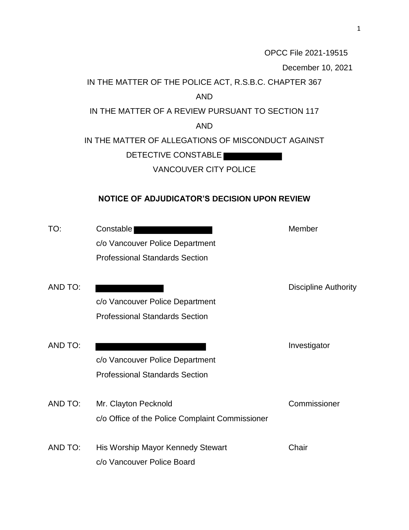OPCC File 2021-19515 December 10, 2021 IN THE MATTER OF THE POLICE ACT, R.S.B.C. CHAPTER 367 AND IN THE MATTER OF A REVIEW PURSUANT TO SECTION 117 AND IN THE MATTER OF ALLEGATIONS OF MISCONDUCT AGAINST DETECTIVE CONSTABLE VANCOUVER CITY POLICE **NOTICE OF ADJUDICATOR'S DECISION UPON REVIEW** TO: Constable Constable Constable Constable Constable Constable Constable Constable Constable Constable Constable Constable Constable Constable Constable Constable Constable Constable Constable Constable Constable Constabl c/o Vancouver Police Department Professional Standards Section AND TO: Discipline Authority c/o Vancouver Police Department Professional Standards Section AND TO: Investigator c/o Vancouver Police Department Professional Standards Section AND TO: Mr. Clayton Pecknold Commissioner c/o Office of the Police Complaint Commissioner AND TO: His Worship Mayor Kennedy Stewart Chair c/o Vancouver Police Board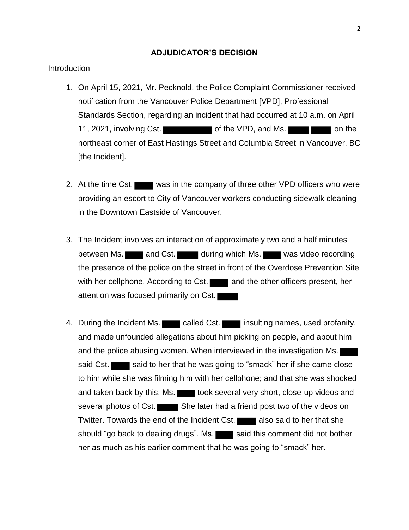### **ADJUDICATOR'S DECISION**

### Introduction

- 1. On April 15, 2021, Mr. Pecknold, the Police Complaint Commissioner received notification from the Vancouver Police Department [VPD], Professional Standards Section, regarding an incident that had occurred at 10 a.m. on April 11, 2021, involving Cst. **the VPD, and Ms. The COV of the VPD** and Ms. northeast corner of East Hastings Street and Columbia Street in Vancouver, BC [the Incident].
- 2. At the time Cst. was in the company of three other VPD officers who were providing an escort to City of Vancouver workers conducting sidewalk cleaning in the Downtown Eastside of Vancouver.
- 3. The Incident involves an interaction of approximately two and a half minutes between Ms. and Cst. during which Ms. was video recording the presence of the police on the street in front of the Overdose Prevention Site with her cellphone. According to Cst. and the other officers present, her attention was focused primarily on Cst.
- 4. During the Incident Ms. called Cst. insulting names, used profanity, and made unfounded allegations about him picking on people, and about him and the police abusing women. When interviewed in the investigation Ms. said Cst. said to her that he was going to "smack" her if she came close to him while she was filming him with her cellphone; and that she was shocked and taken back by this. Ms. took several very short, close-up videos and several photos of Cst. She later had a friend post two of the videos on Twitter. Towards the end of the Incident Cst. also said to her that she should "go back to dealing drugs". Ms. said this comment did not bother her as much as his earlier comment that he was going to "smack" her.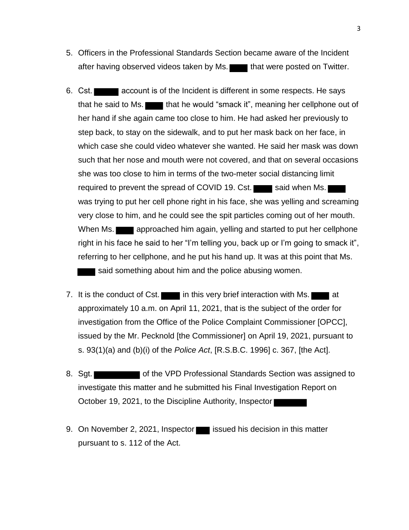- 5. Officers in the Professional Standards Section became aware of the Incident after having observed videos taken by Ms. that were posted on Twitter.
- 6. Cst. **account is of the Incident is different in some respects. He says** that he said to Ms. that he would "smack it", meaning her cellphone out of her hand if she again came too close to him. He had asked her previously to step back, to stay on the sidewalk, and to put her mask back on her face, in which case she could video whatever she wanted. He said her mask was down such that her nose and mouth were not covered, and that on several occasions she was too close to him in terms of the two-meter social distancing limit required to prevent the spread of COVID 19. Cst. said when Ms. was trying to put her cell phone right in his face, she was yelling and screaming very close to him, and he could see the spit particles coming out of her mouth. When Ms. **a** approached him again, yelling and started to put her cellphone right in his face he said to her "I'm telling you, back up or I'm going to smack it", referring to her cellphone, and he put his hand up. It was at this point that Ms. said something about him and the police abusing women.
- 7. It is the conduct of Cst.  $\blacksquare$  in this very brief interaction with Ms.  $\blacksquare$  at approximately 10 a.m. on April 11, 2021, that is the subject of the order for investigation from the Office of the Police Complaint Commissioner [OPCC], issued by the Mr. Pecknold [the Commissioner] on April 19, 2021, pursuant to s. 93(1)(a) and (b)(i) of the *Police Act*, [R.S.B.C. 1996] c. 367, [the Act].
- 8. Sgt. State Text of the VPD Professional Standards Section was assigned to investigate this matter and he submitted his Final Investigation Report on October 19, 2021, to the Discipline Authority, Inspector
- 9. On November 2, 2021, Inspector issued his decision in this matter pursuant to s. 112 of the Act.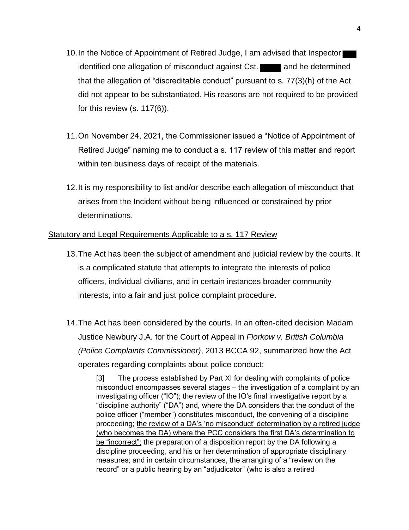- 10.In the Notice of Appointment of Retired Judge, I am advised that Inspector identified one allegation of misconduct against Cst. **The and he determined** that the allegation of "discreditable conduct" pursuant to s. 77(3)(h) of the Act did not appear to be substantiated. His reasons are not required to be provided for this review (s. 117(6)).
- 11.On November 24, 2021, the Commissioner issued a "Notice of Appointment of Retired Judge" naming me to conduct a s. 117 review of this matter and report within ten business days of receipt of the materials.
- 12.It is my responsibility to list and/or describe each allegation of misconduct that arises from the Incident without being influenced or constrained by prior determinations.

# Statutory and Legal Requirements Applicable to a s. 117 Review

- 13.The Act has been the subject of amendment and judicial review by the courts. It is a complicated statute that attempts to integrate the interests of police officers, individual civilians, and in certain instances broader community interests, into a fair and just police complaint procedure.
- 14.The Act has been considered by the courts. In an often-cited decision Madam Justice Newbury J.A. for the Court of Appeal in *Florkow v. British Columbia (Police Complaints Commissioner)*, 2013 BCCA 92, summarized how the Act operates regarding complaints about police conduct:

[3] The process established by Part XI for dealing with complaints of police misconduct encompasses several stages – the investigation of a complaint by an investigating officer ("IO"); the review of the IO's final investigative report by a "discipline authority" ("DA") and, where the DA considers that the conduct of the police officer ("member") constitutes misconduct, the convening of a discipline proceeding; the review of a DA's 'no misconduct' determination by a retired judge (who becomes the DA) where the PCC considers the first DA's determination to be "incorrect"; the preparation of a disposition report by the DA following a discipline proceeding, and his or her determination of appropriate disciplinary measures; and in certain circumstances, the arranging of a "review on the record" or a public hearing by an "adjudicator" (who is also a retired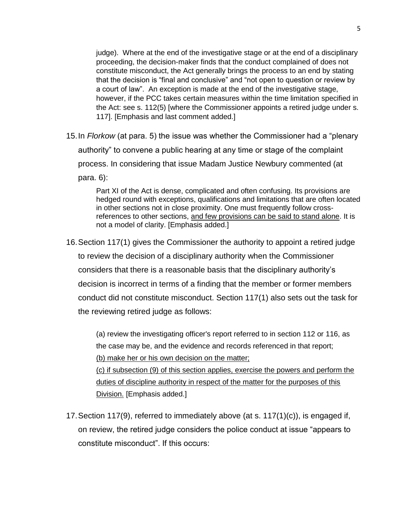judge). Where at the end of the investigative stage or at the end of a disciplinary proceeding, the decision-maker finds that the conduct complained of does not constitute misconduct, the Act generally brings the process to an end by stating that the decision is "final and conclusive" and "not open to question or review by a court of law". An exception is made at the end of the investigative stage, however, if the PCC takes certain measures within the time limitation specified in the Act: see s. 112(5) [where the Commissioner appoints a retired judge under s. 117]. [Emphasis and last comment added.]

15.In *Florkow* (at para. 5) the issue was whether the Commissioner had a "plenary authority" to convene a public hearing at any time or stage of the complaint process. In considering that issue Madam Justice Newbury commented (at para. 6):

> Part XI of the Act is dense, complicated and often confusing. Its provisions are hedged round with exceptions, qualifications and limitations that are often located in other sections not in close proximity. One must frequently follow crossreferences to other sections, and few provisions can be said to stand alone. It is not a model of clarity. [Emphasis added.]

16.Section 117(1) gives the Commissioner the authority to appoint a retired judge to review the decision of a disciplinary authority when the Commissioner considers that there is a reasonable basis that the disciplinary authority's decision is incorrect in terms of a finding that the member or former members conduct did not constitute misconduct. Section 117(1) also sets out the task for the reviewing retired judge as follows:

(a) review the investigating officer's report referred to in section 112 or 116, as the case may be, and the evidence and records referenced in that report; (b) make her or his own decision on the matter;

(c) if subsection (9) of this section applies, exercise the powers and perform the duties of discipline authority in respect of the matter for the purposes of this Division. [Emphasis added.]

17.Section 117(9), referred to immediately above (at s. 117(1)(c)), is engaged if, on review, the retired judge considers the police conduct at issue "appears to constitute misconduct". If this occurs: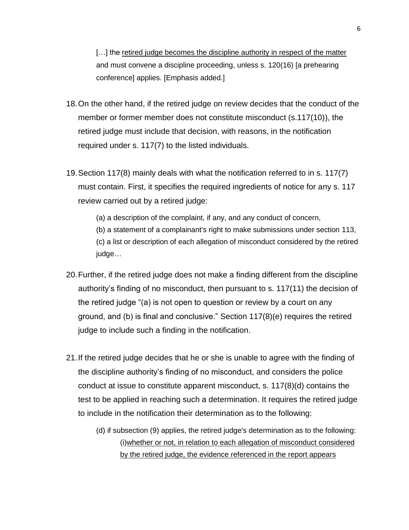[...] the retired judge becomes the discipline authority in respect of the matter and must convene a discipline proceeding, unless s. 120(16) [a prehearing conference] applies. [Emphasis added.]

- 18.On the other hand, if the retired judge on review decides that the conduct of the member or former member does not constitute misconduct (s.117(10)), the retired judge must include that decision, with reasons, in the notification required under s. 117(7) to the listed individuals.
- 19.Section 117(8) mainly deals with what the notification referred to in s. 117(7) must contain. First, it specifies the required ingredients of notice for any s. 117 review carried out by a retired judge:

(a) a description of the complaint, if any, and any conduct of concern,

(b) a statement of a complainant's right to make submissions under section 113, (c) a list or description of each allegation of misconduct considered by the retired judge…

- 20.Further, if the retired judge does not make a finding different from the discipline authority's finding of no misconduct, then pursuant to s. 117(11) the decision of the retired judge "(a) is not open to question or review by a court on any ground, and (b) is final and conclusive." Section 117(8)(e) requires the retired judge to include such a finding in the notification.
- 21.If the retired judge decides that he or she is unable to agree with the finding of the discipline authority's finding of no misconduct, and considers the police conduct at issue to constitute apparent misconduct, s. 117(8)(d) contains the test to be applied in reaching such a determination. It requires the retired judge to include in the notification their determination as to the following:
	- (d) if subsection (9) applies, the retired judge's determination as to the following: (i)whether or not, in relation to each allegation of misconduct considered by the retired judge, the evidence referenced in the report appears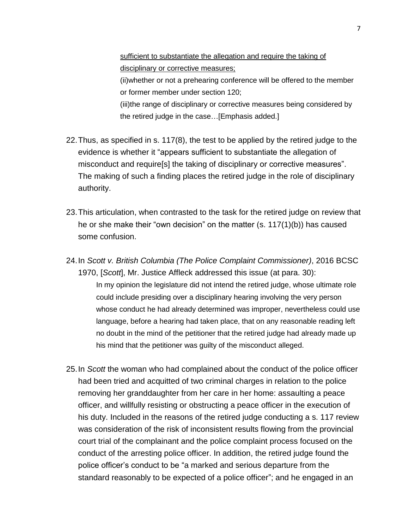sufficient to substantiate the allegation and require the taking of disciplinary or corrective measures;

(ii)whether or not a prehearing conference will be offered to the member or former member under section 120;

(iii)the range of disciplinary or corrective measures being considered by the retired judge in the case…[Emphasis added.]

- 22.Thus, as specified in s. 117(8), the test to be applied by the retired judge to the evidence is whether it "appears sufficient to substantiate the allegation of misconduct and require[s] the taking of disciplinary or corrective measures". The making of such a finding places the retired judge in the role of disciplinary authority.
- 23.This articulation, when contrasted to the task for the retired judge on review that he or she make their "own decision" on the matter (s. 117(1)(b)) has caused some confusion.
- 24.In *Scott v. British Columbia (The Police Complaint Commissioner)*, 2016 BCSC 1970, [*Scott*], Mr. Justice Affleck addressed this issue (at para. 30): In my opinion the legislature did not intend the retired judge, whose ultimate role could include presiding over a disciplinary hearing involving the very person whose conduct he had already determined was improper, nevertheless could use language, before a hearing had taken place, that on any reasonable reading left no doubt in the mind of the petitioner that the retired judge had already made up his mind that the petitioner was guilty of the misconduct alleged.
- 25.In *Scott* the woman who had complained about the conduct of the police officer had been tried and acquitted of two criminal charges in relation to the police removing her granddaughter from her care in her home: assaulting a peace officer, and willfully resisting or obstructing a peace officer in the execution of his duty. Included in the reasons of the retired judge conducting a s. 117 review was consideration of the risk of inconsistent results flowing from the provincial court trial of the complainant and the police complaint process focused on the conduct of the arresting police officer. In addition, the retired judge found the police officer's conduct to be "a marked and serious departure from the standard reasonably to be expected of a police officer"; and he engaged in an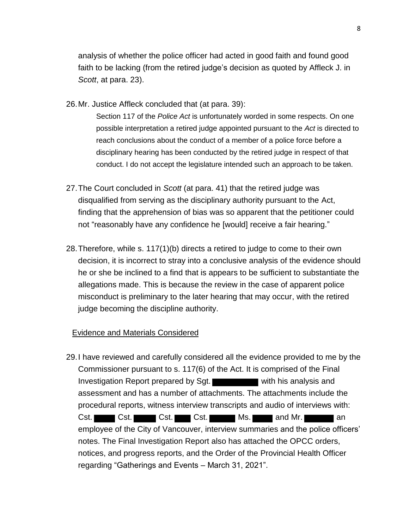analysis of whether the police officer had acted in good faith and found good faith to be lacking (from the retired judge's decision as quoted by Affleck J. in *Scott*, at para. 23).

26.Mr. Justice Affleck concluded that (at para. 39):

Section 117 of the *Police Act* is unfortunately worded in some respects. On one possible interpretation a retired judge appointed pursuant to the *Act* is directed to reach conclusions about the conduct of a member of a police force before a disciplinary hearing has been conducted by the retired judge in respect of that conduct. I do not accept the legislature intended such an approach to be taken.

- 27.The Court concluded in *Scott* (at para. 41) that the retired judge was disqualified from serving as the disciplinary authority pursuant to the Act, finding that the apprehension of bias was so apparent that the petitioner could not "reasonably have any confidence he [would] receive a fair hearing."
- 28.Therefore, while s. 117(1)(b) directs a retired to judge to come to their own decision, it is incorrect to stray into a conclusive analysis of the evidence should he or she be inclined to a find that is appears to be sufficient to substantiate the allegations made. This is because the review in the case of apparent police misconduct is preliminary to the later hearing that may occur, with the retired judge becoming the discipline authority.

# Evidence and Materials Considered

29.I have reviewed and carefully considered all the evidence provided to me by the Commissioner pursuant to s. 117(6) of the Act. It is comprised of the Final Investigation Report prepared by Sgt. assessment and has a number of attachments. The attachments include the procedural reports, witness interview transcripts and audio of interviews with: Cst. Cst. Cst. Cst. Cst. Cst. Ms. and Mr. and Cst. employee of the City of Vancouver, interview summaries and the police officers' notes. The Final Investigation Report also has attached the OPCC orders, notices, and progress reports, and the Order of the Provincial Health Officer regarding "Gatherings and Events – March 31, 2021".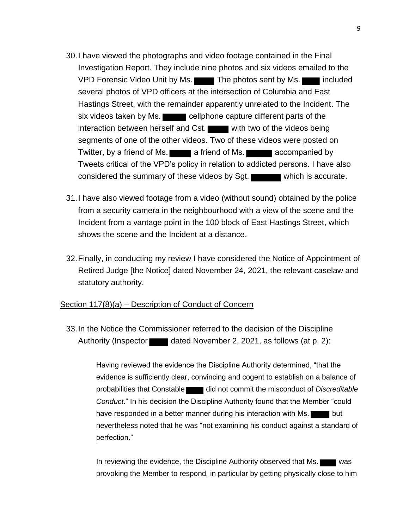- 30.I have viewed the photographs and video footage contained in the Final Investigation Report. They include nine photos and six videos emailed to the VPD Forensic Video Unit by Ms. The photos sent by Ms. several photos of VPD officers at the intersection of Columbia and East Hastings Street, with the remainder apparently unrelated to the Incident. The six videos taken by Ms. cellphone capture different parts of the interaction between herself and Cst. with two of the videos being segments of one of the other videos. Two of these videos were posted on Twitter, by a friend of Ms. **a** friend of Ms. **a** accompanied by Tweets critical of the VPD's policy in relation to addicted persons. I have also considered the summary of these videos by Sgt. which is accurate.
- 31.I have also viewed footage from a video (without sound) obtained by the police from a security camera in the neighbourhood with a view of the scene and the Incident from a vantage point in the 100 block of East Hastings Street, which shows the scene and the Incident at a distance.
- 32.Finally, in conducting my review I have considered the Notice of Appointment of Retired Judge [the Notice] dated November 24, 2021, the relevant caselaw and statutory authority.

### Section 117(8)(a) – Description of Conduct of Concern

33.In the Notice the Commissioner referred to the decision of the Discipline Authority (Inspector dated November 2, 2021, as follows (at p. 2):

> Having reviewed the evidence the Discipline Authority determined, "that the evidence is sufficiently clear, convincing and cogent to establish on a balance of probabilities that Constable **did not commit the misconduct of** *Discreditable Conduct*." In his decision the Discipline Authority found that the Member "could have responded in a better manner during his interaction with Ms. nevertheless noted that he was "not examining his conduct against a standard of perfection."

> In reviewing the evidence, the Discipline Authority observed that Ms. provoking the Member to respond, in particular by getting physically close to him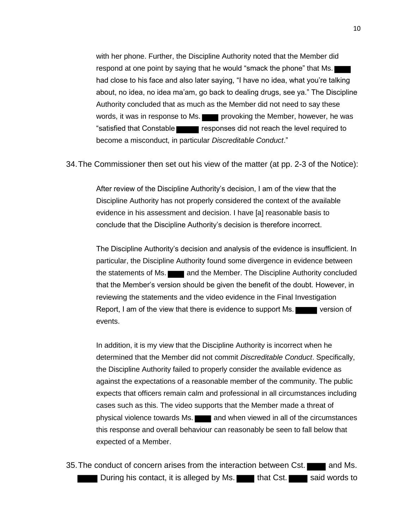with her phone. Further, the Discipline Authority noted that the Member did respond at one point by saying that he would "smack the phone" that Ms. had close to his face and also later saying, "I have no idea, what you're talking about, no idea, no idea ma'am, go back to dealing drugs, see ya." The Discipline Authority concluded that as much as the Member did not need to say these words, it was in response to Ms. **provoking the Member, however, he was** "satisfied that Constable **responses did not reach the level required to** become a misconduct, in particular *Discreditable Conduct*."

34.The Commissioner then set out his view of the matter (at pp. 2-3 of the Notice):

After review of the Discipline Authority's decision, I am of the view that the Discipline Authority has not properly considered the context of the available evidence in his assessment and decision. I have [a] reasonable basis to conclude that the Discipline Authority's decision is therefore incorrect.

The Discipline Authority's decision and analysis of the evidence is insufficient. In particular, the Discipline Authority found some divergence in evidence between the statements of Ms. **and the Member.** The Discipline Authority concluded that the Member's version should be given the benefit of the doubt. However, in reviewing the statements and the video evidence in the Final Investigation Report, I am of the view that there is evidence to support Ms. events.

In addition, it is my view that the Discipline Authority is incorrect when he determined that the Member did not commit *Discreditable Conduct*. Specifically, the Discipline Authority failed to properly consider the available evidence as against the expectations of a reasonable member of the community. The public expects that officers remain calm and professional in all circumstances including cases such as this. The video supports that the Member made a threat of physical violence towards Ms. **All and when viewed in all of the circumstances** this response and overall behaviour can reasonably be seen to fall below that expected of a Member.

35. The conduct of concern arises from the interaction between Cst. **The langular and Ms.** During his contact, it is alleged by Ms. that Cst. said words to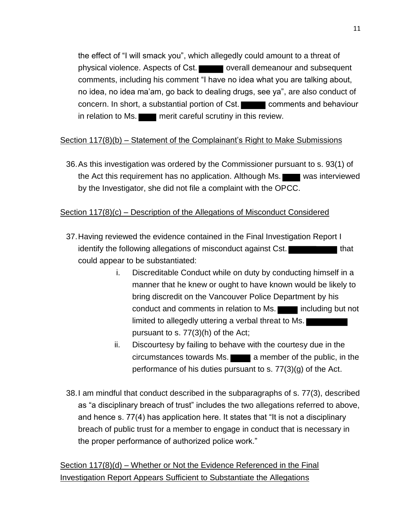the effect of "I will smack you", which allegedly could amount to a threat of physical violence. Aspects of Cst. overall demeanour and subsequent comments, including his comment "I have no idea what you are talking about, no idea, no idea ma'am, go back to dealing drugs, see ya", are also conduct of concern. In short, a substantial portion of Cst. comments and behaviour in relation to Ms. **The lines of the careful scrutiny in this review.** 

# Section 117(8)(b) – Statement of the Complainant's Right to Make Submissions

36.As this investigation was ordered by the Commissioner pursuant to s. 93(1) of the Act this requirement has no application. Although Ms. was interviewed by the Investigator, she did not file a complaint with the OPCC.

# Section 117(8)(c) – Description of the Allegations of Misconduct Considered

- 37.Having reviewed the evidence contained in the Final Investigation Report I identify the following allegations of misconduct against Cst. could appear to be substantiated:
	- i. Discreditable Conduct while on duty by conducting himself in a manner that he knew or ought to have known would be likely to bring discredit on the Vancouver Police Department by his conduct and comments in relation to Ms. including but not limited to allegedly uttering a verbal threat to Ms. pursuant to s. 77(3)(h) of the Act;
	- ii. Discourtesy by failing to behave with the courtesy due in the  $circumstances$  towards Ms.  $\Box$  a member of the public, in the performance of his duties pursuant to s. 77(3)(g) of the Act.
- 38.I am mindful that conduct described in the subparagraphs of s. 77(3), described as "a disciplinary breach of trust" includes the two allegations referred to above, and hence s. 77(4) has application here. It states that "It is not a disciplinary breach of public trust for a member to engage in conduct that is necessary in the proper performance of authorized police work."

Section 117(8)(d) – Whether or Not the Evidence Referenced in the Final Investigation Report Appears Sufficient to Substantiate the Allegations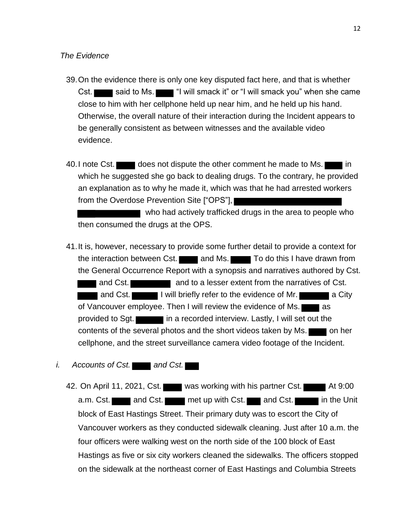- 39.On the evidence there is only one key disputed fact here, and that is whether Cst. said to Ms.  $\blacksquare$  "I will smack it" or "I will smack you" when she came close to him with her cellphone held up near him, and he held up his hand. Otherwise, the overall nature of their interaction during the Incident appears to be generally consistent as between witnesses and the available video evidence.
- 40. I note Cst. does not dispute the other comment he made to Ms. which he suggested she go back to dealing drugs. To the contrary, he provided an explanation as to why he made it, which was that he had arrested workers from the Overdose Prevention Site ["OPS"],

 who had actively trafficked drugs in the area to people who then consumed the drugs at the OPS.

41.It is, however, necessary to provide some further detail to provide a context for the interaction between Cst. **The interaction of the interaction between Cst. and Ms. To do this I have drawn from** the General Occurrence Report with a synopsis and narratives authored by Cst. and Cst. **and True Communist Communist Communist Communist Communist Communist Communist Communist Communist Communist Communist Communist Communist Communist Communist Communist Communist Communist Communist Communist Com** 

and Cst. I will briefly refer to the evidence of Mr. of Vancouver employee. Then I will review the evidence of Ms. provided to Sgt. in a recorded interview. Lastly, I will set out the contents of the several photos and the short videos taken by Ms. cellphone, and the street surveillance camera video footage of the Incident.

- *i.* Accounts of Cst. **and Cst.** 
	- 42. On April 11, 2021, Cst. was working with his partner Cst. At 9:00 a.m. Cst. and Cst. met up with Cst. and Cst. in the Unit block of East Hastings Street. Their primary duty was to escort the City of Vancouver workers as they conducted sidewalk cleaning. Just after 10 a.m. the four officers were walking west on the north side of the 100 block of East Hastings as five or six city workers cleaned the sidewalks. The officers stopped on the sidewalk at the northeast corner of East Hastings and Columbia Streets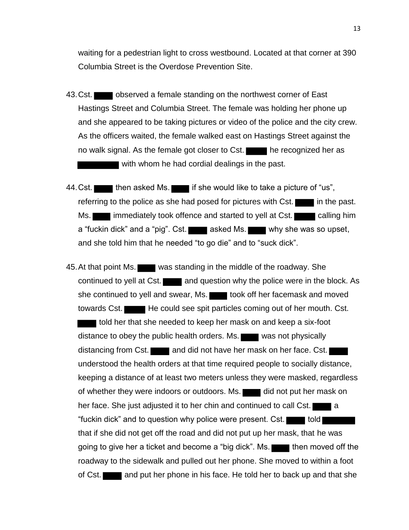waiting for a pedestrian light to cross westbound. Located at that corner at 390 Columbia Street is the Overdose Prevention Site.

- 43. Cst. observed a female standing on the northwest corner of East Hastings Street and Columbia Street. The female was holding her phone up and she appeared to be taking pictures or video of the police and the city crew. As the officers waited, the female walked east on Hastings Street against the no walk signal. As the female got closer to Cst. **the recognized her as** with whom he had cordial dealings in the past.
- 44. Cst. **then asked Ms.** if she would like to take a picture of "us", referring to the police as she had posed for pictures with  $\text{Cst.}$  in the past. Ms. **immediately took offence and started to yell at Cst.** calling him a "fuckin dick" and a "pig". Cst. asked Ms. why she was so upset, and she told him that he needed "to go die" and to "suck dick".
- 45. At that point Ms. was standing in the middle of the roadway. She continued to yell at Cst. and question why the police were in the block. As she continued to yell and swear, Ms. took off her facemask and moved towards Cst. He could see spit particles coming out of her mouth. Cst. told her that she needed to keep her mask on and keep a six-foot distance to obey the public health orders. Ms. was not physically distancing from Cst. and did not have her mask on her face. Cst. understood the health orders at that time required people to socially distance, keeping a distance of at least two meters unless they were masked, regardless of whether they were indoors or outdoors. Ms. did not put her mask on her face. She just adjusted it to her chin and continued to call Cst. "fuckin dick" and to question why police were present. Cst. **the stude** told that if she did not get off the road and did not put up her mask, that he was going to give her a ticket and become a "big dick". Ms. then moved off the roadway to the sidewalk and pulled out her phone. She moved to within a foot of Cst. **and put her phone in his face. He told her to back up and that she**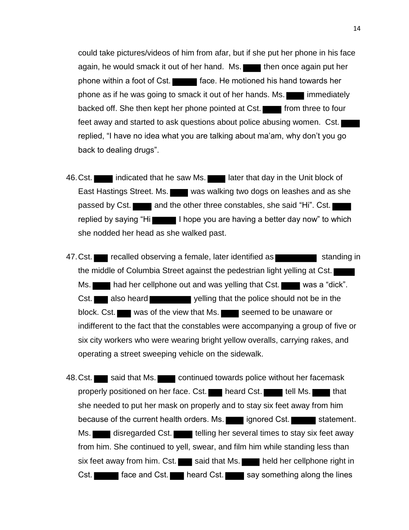could take pictures/videos of him from afar, but if she put her phone in his face again, he would smack it out of her hand. Ms. then once again put her phone within a foot of Cst. **Fig. 1.1.** face. He motioned his hand towards her phone as if he was going to smack it out of her hands. Ms. **in** immediately backed off. She then kept her phone pointed at Cst. **Figure** from three to four feet away and started to ask questions about police abusing women. Cst. replied, "I have no idea what you are talking about ma'am, why don't you go back to dealing drugs".

- 46. Cst. indicated that he saw Ms. I later that day in the Unit block of East Hastings Street. Ms. was walking two dogs on leashes and as she passed by Cst. and the other three constables, she said "Hi". Cst. replied by saying "Hi I hope you are having a better day now" to which she nodded her head as she walked past.
- 47. Cst. recalled observing a female, later identified as standing in the middle of Columbia Street against the pedestrian light yelling at Cst. Ms. had her cellphone out and was yelling that Cst. was a "dick". Cst. also heard yelling that the police should not be in the block. Cst. was of the view that Ms. Seemed to be unaware or indifferent to the fact that the constables were accompanying a group of five or six city workers who were wearing bright yellow overalls, carrying rakes, and operating a street sweeping vehicle on the sidewalk.
- 48. Cst. said that Ms. continued towards police without her facemask properly positioned on her face. Cst. heard Cst. tell Ms. that she needed to put her mask on properly and to stay six feet away from him because of the current health orders. Ms. ignored Cst. statement. Ms. disregarded Cst. telling her several times to stay six feet away from him. She continued to yell, swear, and film him while standing less than six feet away from him. Cst. said that Ms. held her cellphone right in Cst. **Fig. 2.** face and Cst. heard Cst. say something along the lines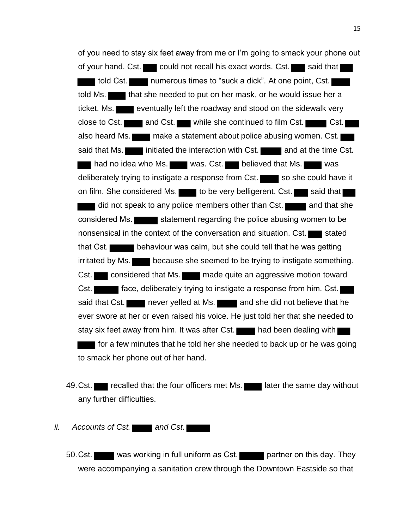of you need to stay six feet away from me or I'm going to smack your phone out of your hand. Cst. could not recall his exact words. Cst. said that **told Cst.** numerous times to "suck a dick". At one point, Cst. told Ms. **that she needed to put on her mask, or he would issue her a** ticket. Ms. eventually left the roadway and stood on the sidewalk very close to Cst. and Cst. while she continued to film Cst.  $\blacksquare$  Cst. also heard Ms. make a statement about police abusing women. Cst. said that Ms. **initiated the interaction with Cst. inclusion and at the time Cst.** had no idea who Ms. was. Cst. believed that Ms. deliberately trying to instigate a response from Cst. so she could have it on film. She considered Ms. to be very belligerent. Cst. said that did not speak to any police members other than Cst. and that she considered Ms. statement regarding the police abusing women to be nonsensical in the context of the conversation and situation. Cst. stated that Cst. **behaviour was calm, but she could tell that he was getting** irritated by Ms. because she seemed to be trying to instigate something. Cst. considered that Ms. made quite an aggressive motion toward Cst. **Face, deliberately trying to instigate a response from him. Cst.** said that Cst. never yelled at Ms. and she did not believe that he ever swore at her or even raised his voice. He just told her that she needed to stay six feet away from him. It was after Cst. **the state had been dealing with for a few minutes that he told her she needed to back up or he was going** to smack her phone out of her hand.

- 49. Cst. recalled that the four officers met Ms. later the same day without any further difficulties.
- *ii.* Accounts of Cst. **Accounts** and Cst.
	- 50. Cst. was working in full uniform as Cst. partner on this day. They were accompanying a sanitation crew through the Downtown Eastside so that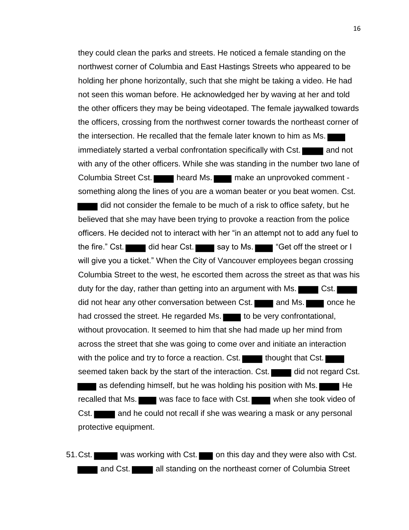they could clean the parks and streets. He noticed a female standing on the northwest corner of Columbia and East Hastings Streets who appeared to be holding her phone horizontally, such that she might be taking a video. He had not seen this woman before. He acknowledged her by waving at her and told the other officers they may be being videotaped. The female jaywalked towards the officers, crossing from the northwest corner towards the northeast corner of the intersection. He recalled that the female later known to him as Ms. immediately started a verbal confrontation specifically with Cst. **The and not** with any of the other officers. While she was standing in the number two lane of Columbia Street Cst. heard Ms. make an unprovoked comment something along the lines of you are a woman beater or you beat women. Cst.

did not consider the female to be much of a risk to office safety, but he believed that she may have been trying to provoke a reaction from the police officers. He decided not to interact with her "in an attempt not to add any fuel to the fire." Cst. did hear Cst.  $\blacksquare$  say to Ms.  $\blacksquare$  "Get off the street or I will give you a ticket." When the City of Vancouver employees began crossing Columbia Street to the west, he escorted them across the street as that was his duty for the day, rather than getting into an argument with Ms. did not hear any other conversation between Cst. and Ms. once he had crossed the street. He regarded Ms. to be very confrontational, without provocation. It seemed to him that she had made up her mind from across the street that she was going to come over and initiate an interaction with the police and try to force a reaction. Cst. thought that Cst. seemed taken back by the start of the interaction. Cst. did not regard Cst. as defending himself, but he was holding his position with Ms. recalled that Ms. was face to face with Cst. when she took video of Cst. **The languary and he could not recall if she was wearing a mask or any personal** protective equipment.

51. Cst. was working with Cst. on this day and they were also with Cst. and Cst. **all standing on the northeast corner of Columbia Street**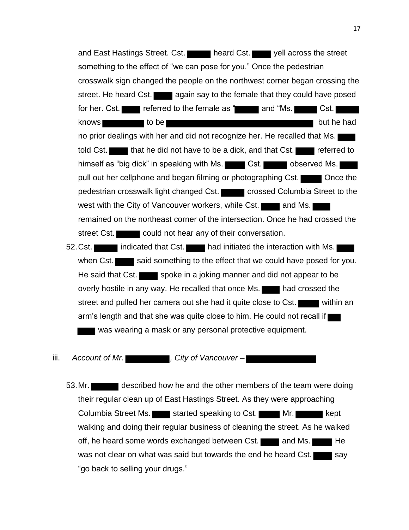and East Hastings Street. Cst. heard Cst. yell across the street something to the effect of "we can pose for you." Once the pedestrian crosswalk sign changed the people on the northwest corner began crossing the street. He heard Cst. again say to the female that they could have posed for her. Cst. referred to the female as " and "Ms. Cst. knows to be but he had no prior dealings with her and did not recognize her. He recalled that Ms. told Cst. **that he did not have to be a dick, and that Cst.** referred to himself as "big dick" in speaking with Ms. Cst. Cst. observed Ms. pull out her cellphone and began filming or photographing Cst. pedestrian crosswalk light changed Cst. crossed Columbia Street to the west with the City of Vancouver workers, while Cst. and Ms. remained on the northeast corner of the intersection. Once he had crossed the street Cst. could not hear any of their conversation.

52. Cst. indicated that Cst. had initiated the interaction with Ms. when Cst.  $\blacksquare$  said something to the effect that we could have posed for you. He said that Cst. spoke in a joking manner and did not appear to be overly hostile in any way. He recalled that once Ms. **The langle state** that crossed the street and pulled her camera out she had it quite close to Cst. arm's length and that she was quite close to him. He could not recall if was wearing a mask or any personal protective equipment.

iii. Account of Mr.

53. Mr. described how he and the other members of the team were doing their regular clean up of East Hastings Street. As they were approaching Columbia Street Ms. started speaking to Cst. Mr. Mr. Started walking and doing their regular business of cleaning the street. As he walked off, he heard some words exchanged between Cst.  $\Box$  and Ms.  $\Box$  He was not clear on what was said but towards the end he heard Cst.  $\Box$  say "go back to selling your drugs."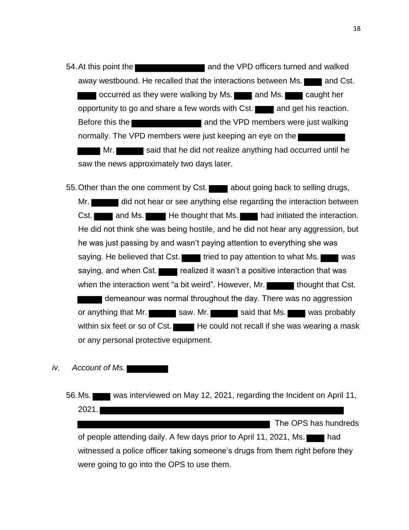54.At this point the and the VPD officers turned and walked away westbound. He recalled that the interactions between Ms. **The langle Cst.** occurred as they were walking by Ms. **The land Ms.** Caught her opportunity to go and share a few words with Cst. and get his reaction. Before this the **and the VPD** members were just walking normally. The VPD members were just keeping an eye on the Mr. said that he did not realize anything had occurred until he saw the news approximately two days later.

55. Other than the one comment by Cst. about going back to selling drugs, Mr. did not hear or see anything else regarding the interaction between Cst. and Ms. He thought that Ms. had initiated the interaction. He did not think she was being hostile, and he did not hear any aggression, but he was just passing by and wasn't paying attention to everything she was saying. He believed that Cst. tried to pay attention to what Ms. saying, and when Cst. realized it wasn't a positive interaction that was when the interaction went "a bit weird". However, Mr. thought that Cst. demeanour was normal throughout the day. There was no aggression or anything that Mr. saw. Mr. said that Ms. was probably within six feet or so of Cst. He could not recall if she was wearing a mask or any personal protective equipment.

# *iv. Account of Ms.*

56.Ms. was interviewed on May 12, 2021, regarding the Incident on April 11, 2021. The OPS has hundreds of people attending daily. A few days prior to April 11, 2021, Ms. witnessed a police officer taking someone's drugs from them right before they were going to go into the OPS to use them.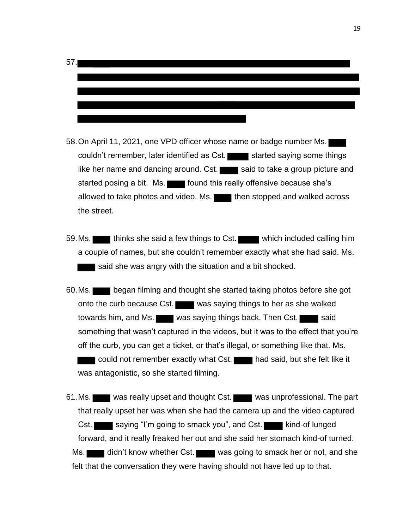

- 58.On April 11, 2021, one VPD officer whose name or badge number Ms. couldn't remember, later identified as Cst. started saying some things like her name and dancing around. Cst. said to take a group picture and started posing a bit. Ms. **Found this really offensive because she's** allowed to take photos and video. Ms. **then stopped and walked across** the street.
- 59. Ms. thinks she said a few things to Cst. which included calling him a couple of names, but she couldn't remember exactly what she had said. Ms. said she was angry with the situation and a bit shocked.
- 60.Ms. began filming and thought she started taking photos before she got onto the curb because Cst. was saying things to her as she walked towards him, and Ms. was saying things back. Then Cst. something that wasn't captured in the videos, but it was to the effect that you're off the curb, you can get a ticket, or that's illegal, or something like that. Ms. could not remember exactly what Cst. had said, but she felt like it was antagonistic, so she started filming.

61. Ms. was really upset and thought Cst. was unprofessional. The part that really upset her was when she had the camera up and the video captured Cst. saying "I'm going to smack you", and Cst. kind-of lunged forward, and it really freaked her out and she said her stomach kind-of turned. Ms. didn't know whether Cst. was going to smack her or not, and she felt that the conversation they were having should not have led up to that.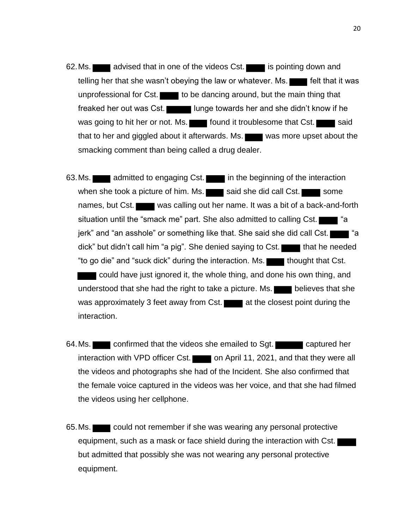- 62. Ms. advised that in one of the videos Cst. is pointing down and telling her that she wasn't obeying the law or whatever. Ms. **Figure** felt that it was unprofessional for Cst.  $\Box$  to be dancing around, but the main thing that freaked her out was Cst. In the lunge towards her and she didn't know if he was going to hit her or not. Ms. **Found it troublesome that Cst.** said that to her and giggled about it afterwards. Ms.  $\blacksquare$  was more upset about the smacking comment than being called a drug dealer.
- 63. Ms. **a** admitted to engaging Cst. **in the beginning of the interaction** when she took a picture of him. Ms.  $\Box$  said she did call Cst.  $\Box$  some names, but Cst. was calling out her name. It was a bit of a back-and-forth situation until the "smack me" part. She also admitted to calling  $Cst.$   $\blacksquare$  "a jerk" and "an asshole" or something like that. She said she did call Cst. dick" but didn't call him "a pig". She denied saying to Cst. that he needed "to go die" and "suck dick" during the interaction. Ms. **thought that Cst.** could have just ignored it, the whole thing, and done his own thing, and understood that she had the right to take a picture. Ms. **believes that she** was approximately 3 feet away from Cst.  $\blacksquare$  at the closest point during the interaction.
- 64.Ms. confirmed that the videos she emailed to Sgt. captured her interaction with VPD officer Cst. on April 11, 2021, and that they were all the videos and photographs she had of the Incident. She also confirmed that the female voice captured in the videos was her voice, and that she had filmed the videos using her cellphone.
- 65. Ms. could not remember if she was wearing any personal protective equipment, such as a mask or face shield during the interaction with Cst. but admitted that possibly she was not wearing any personal protective equipment.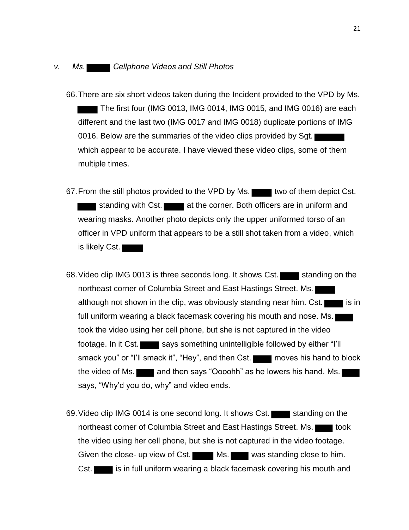### *v. Ms. Cellphone Videos and Still Photos*

- 66.There are six short videos taken during the Incident provided to the VPD by Ms. The first four (IMG 0013, IMG 0014, IMG 0015, and IMG 0016) are each different and the last two (IMG 0017 and IMG 0018) duplicate portions of IMG 0016. Below are the summaries of the video clips provided by Sgt. which appear to be accurate. I have viewed these video clips, some of them multiple times.
- 67. From the still photos provided to the VPD by Ms. two of them depict Cst. standing with Cst. at the corner. Both officers are in uniform and wearing masks. Another photo depicts only the upper uniformed torso of an officer in VPD uniform that appears to be a still shot taken from a video, which is likely Cst.
- 68. Video clip IMG 0013 is three seconds long. It shows Cst. standing on the northeast corner of Columbia Street and East Hastings Street. Ms. although not shown in the clip, was obviously standing near him. Cst. full uniform wearing a black facemask covering his mouth and nose. Ms. took the video using her cell phone, but she is not captured in the video footage. In it Cst. says something unintelligible followed by either "I'll smack you" or "I'll smack it", "Hey", and then Cst. moves his hand to block the video of Ms. **and then says "Oooohh"** as he lowers his hand. Ms. says, "Why'd you do, why" and video ends.
- 69. Video clip IMG 0014 is one second long. It shows Cst. Standing on the northeast corner of Columbia Street and East Hastings Street. Ms. the video using her cell phone, but she is not captured in the video footage. Given the close- up view of Cst. Ms. Was standing close to him. Cst. is in full uniform wearing a black facemask covering his mouth and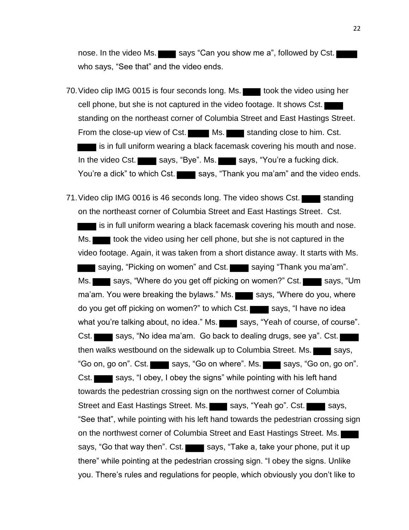nose. In the video Ms. says "Can you show me a", followed by Cst. who says, "See that" and the video ends.

70. Video clip IMG 0015 is four seconds long. Ms. took the video using her cell phone, but she is not captured in the video footage. It shows Cst. standing on the northeast corner of Columbia Street and East Hastings Street. From the close-up view of Cst. Ms. Ms. Standing close to him. Cst. is in full uniform wearing a black facemask covering his mouth and nose. In the video Cst. says, "Bye". Ms. says, "You're a fucking dick. You're a dick" to which Cst. says, "Thank you ma'am" and the video ends.

71. Video clip IMG 0016 is 46 seconds long. The video shows Cst. standing on the northeast corner of Columbia Street and East Hastings Street. Cst. I is in full uniform wearing a black facemask covering his mouth and nose. Ms. took the video using her cell phone, but she is not captured in the video footage. Again, it was taken from a short distance away. It starts with Ms. saying, "Picking on women" and Cst. saying "Thank you ma'am". Ms. says, "Where do you get off picking on women?" Cst. says, "Um ma'am. You were breaking the bylaws." Ms. says, "Where do you, where do you get off picking on women?" to which Cst. says, "I have no idea what you're talking about, no idea." Ms. says, "Yeah of course, of course". Cst. says, "No idea ma'am. Go back to dealing drugs, see ya". Cst. then walks westbound on the sidewalk up to Columbia Street. Ms.  $\blacksquare$  says, "Go on, go on". Cst. says, "Go on where". Ms. says, "Go on, go on". Cst. says, "I obey, I obey the signs" while pointing with his left hand towards the pedestrian crossing sign on the northwest corner of Columbia Street and East Hastings Street. Ms. says, "Yeah go". Cst. says, says, "See that", while pointing with his left hand towards the pedestrian crossing sign on the northwest corner of Columbia Street and East Hastings Street. Ms. says, "Go that way then". Cst. says, "Take a, take your phone, put it up there" while pointing at the pedestrian crossing sign. "I obey the signs. Unlike you. There's rules and regulations for people, which obviously you don't like to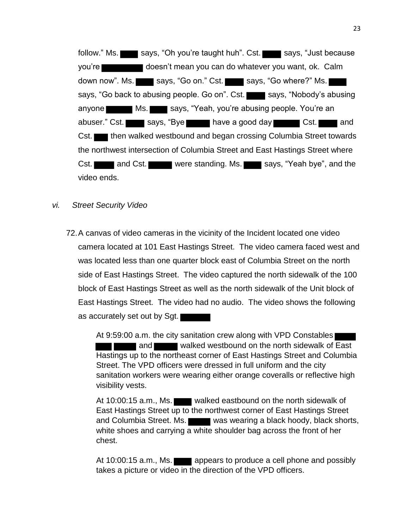follow." Ms. says, "Oh you're taught huh". Cst. says, "Just because you're doesn't mean you can do whatever you want, ok. Calm down now". Ms. says, "Go on." Cst. says, "Go where?" Ms. says, "Go back to abusing people. Go on". Cst. says, "Nobody's abusing anyone Ms. Ms. Says, "Yeah, you're abusing people. You're an abuser." Cst. says, "Bye have a good day Cst. and Cst. then walked westbound and began crossing Columbia Street towards the northwest intersection of Columbia Street and East Hastings Street where Cst. and Cst. were standing. Ms. says, "Yeah bye", and the video ends.

*vi. Street Security Video*

72.A canvas of video cameras in the vicinity of the Incident located one video camera located at 101 East Hastings Street. The video camera faced west and was located less than one quarter block east of Columbia Street on the north side of East Hastings Street. The video captured the north sidewalk of the 100 block of East Hastings Street as well as the north sidewalk of the Unit block of East Hastings Street. The video had no audio. The video shows the following as accurately set out by Sgt.

> At 9:59:00 a.m. the city sanitation crew along with VPD Constables and walked westbound on the north sidewalk of East Hastings up to the northeast corner of East Hastings Street and Columbia Street. The VPD officers were dressed in full uniform and the city sanitation workers were wearing either orange coveralls or reflective high visibility vests.

> At 10:00:15 a.m., Ms. walked eastbound on the north sidewalk of East Hastings Street up to the northwest corner of East Hastings Street and Columbia Street. Ms. was wearing a black hoody, black shorts, white shoes and carrying a white shoulder bag across the front of her chest.

At 10:00:15 a.m., Ms. **a** appears to produce a cell phone and possibly takes a picture or video in the direction of the VPD officers.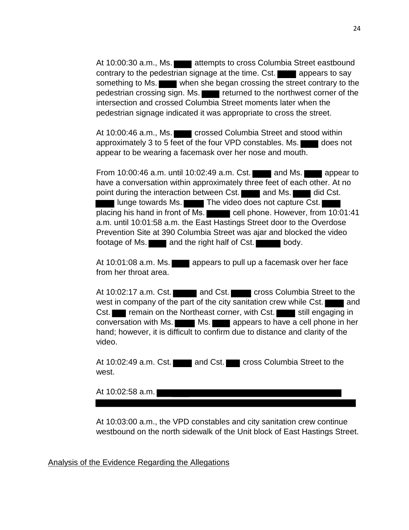At 10:00:30 a.m., Ms. **attempts to cross Columbia Street eastbound** contrary to the pedestrian signage at the time. Cst. **a** appears to say something to Ms. when she began crossing the street contrary to the pedestrian crossing sign. Ms. returned to the northwest corner of the intersection and crossed Columbia Street moments later when the pedestrian signage indicated it was appropriate to cross the street.

At 10:00:46 a.m., Ms. crossed Columbia Street and stood within approximately 3 to 5 feet of the four VPD constables. Ms. does not appear to be wearing a facemask over her nose and mouth.

From  $10:00:46$  a.m. until  $10:02:49$  a.m. Cst. and Ms. appear to have a conversation within approximately three feet of each other. At no point during the interaction between Cst. and Ms. and Ms. did Cst. **The video does not capture Cst.** The video does not capture Cst. placing his hand in front of Ms. cell phone. However, from 10:01:41 a.m. until 10:01:58 a.m. the East Hastings Street door to the Overdose Prevention Site at 390 Columbia Street was ajar and blocked the video footage of Ms.  $\blacksquare$  and the right half of Cst.  $\blacksquare$  body.

At 10:01:08 a.m. Ms. **a** appears to pull up a facemask over her face from her throat area.

At 10:02:17 a.m. Cst. and Cst. cross Columbia Street to the west in company of the part of the city sanitation crew while  $\text{Cst.}$  and Cst. **The Temain on the Northeast corner, with Cst.**  $\blacksquare$  still engaging in conversation with Ms.  $\blacksquare$  Ms.  $\blacksquare$  appears to have a cell phone in her hand; however, it is difficult to confirm due to distance and clarity of the video.

At 10:02:49 a.m. Cst. and Cst. cross Columbia Street to the west.

At 10:02:58 a.m.

At 10:03:00 a.m., the VPD constables and city sanitation crew continue westbound on the north sidewalk of the Unit block of East Hastings Street.

Analysis of the Evidence Regarding the Allegations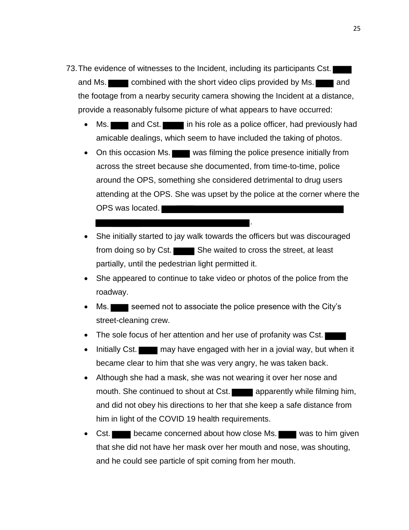- 73.The evidence of witnesses to the Incident, including its participants Cst. and Ms. **combined with the short video clips provided by Ms.** and the footage from a nearby security camera showing the Incident at a distance, provide a reasonably fulsome picture of what appears to have occurred:
	- Ms. **and Cst.** in his role as a police officer, had previously had amicable dealings, which seem to have included the taking of photos.
	- On this occasion Ms. was filming the police presence initially from across the street because she documented, from time-to-time, police around the OPS, something she considered detrimental to drug users attending at the OPS. She was upset by the police at the corner where the OPS was located.

.

- She initially started to jay walk towards the officers but was discouraged from doing so by Cst. She waited to cross the street, at least partially, until the pedestrian light permitted it.
- She appeared to continue to take video or photos of the police from the roadway.
- Ms.  $\blacksquare$  seemed not to associate the police presence with the City's street-cleaning crew.
- The sole focus of her attention and her use of profanity was Cst.
- Initially Cst. may have engaged with her in a jovial way, but when it became clear to him that she was very angry, he was taken back.
- Although she had a mask, she was not wearing it over her nose and mouth. She continued to shout at Cst. apparently while filming him, and did not obey his directions to her that she keep a safe distance from him in light of the COVID 19 health requirements.
- Cst. became concerned about how close Ms. was to him given that she did not have her mask over her mouth and nose, was shouting, and he could see particle of spit coming from her mouth.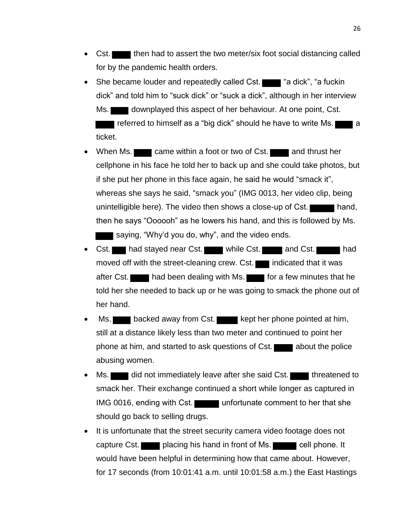- Cst. then had to assert the two meter/six foot social distancing called for by the pandemic health orders.
- She became louder and repeatedly called Cst. **The author of the fuckin** of the state in the state of the state in the state in the state in the state in the state in the state in the state in the state in the state in th dick" and told him to "suck dick" or "suck a dick", although in her interview Ms. downplayed this aspect of her behaviour. At one point, Cst. referred to himself as a "big dick" should he have to write Ms. ticket.
- When Ms. came within a foot or two of Cst. and thrust her cellphone in his face he told her to back up and she could take photos, but if she put her phone in this face again, he said he would "smack it", whereas she says he said, "smack you" (IMG 0013, her video clip, being unintelligible here). The video then shows a close-up of  $\textsf{Cst.}$  hand, then he says "Oooooh" as he lowers his hand, and this is followed by Ms. saying, "Why'd you do, why", and the video ends.
- Cst. had stayed near Cst. while Cst. and Cst. had moved off with the street-cleaning crew. Cst. indicated that it was after Cst. had been dealing with Ms. for a few minutes that he told her she needed to back up or he was going to smack the phone out of her hand.
- Ms. backed away from Cst. kept her phone pointed at him, still at a distance likely less than two meter and continued to point her phone at him, and started to ask questions of  $Cst.$  about the police abusing women.
- Ms. did not immediately leave after she said Cst. threatened to smack her. Their exchange continued a short while longer as captured in IMG 0016, ending with Cst. unfortunate comment to her that she should go back to selling drugs.
- It is unfortunate that the street security camera video footage does not capture Cst. placing his hand in front of Ms. cell phone. It would have been helpful in determining how that came about. However, for 17 seconds (from 10:01:41 a.m. until 10:01:58 a.m.) the East Hastings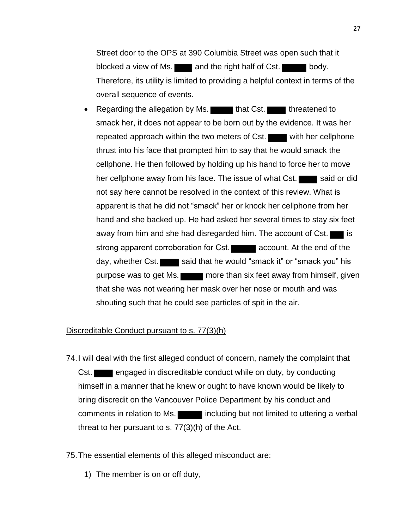Street door to the OPS at 390 Columbia Street was open such that it blocked a view of Ms.  $\Box$  and the right half of Cst.  $\Box$  body. Therefore, its utility is limited to providing a helpful context in terms of the overall sequence of events.

• Regarding the allegation by Ms. that Cst. the threatened to smack her, it does not appear to be born out by the evidence. It was her repeated approach within the two meters of Cst. with her cellphone thrust into his face that prompted him to say that he would smack the cellphone. He then followed by holding up his hand to force her to move her cellphone away from his face. The issue of what Cst. said or did not say here cannot be resolved in the context of this review. What is apparent is that he did not "smack" her or knock her cellphone from her hand and she backed up. He had asked her several times to stay six feet away from him and she had disregarded him. The account of Cst.  $\blacksquare$  is strong apparent corroboration for Cst. **Account.** At the end of the day, whether Cst. said that he would "smack it" or "smack you" his purpose was to get Ms. more than six feet away from himself, given that she was not wearing her mask over her nose or mouth and was shouting such that he could see particles of spit in the air.

# Discreditable Conduct pursuant to s. 77(3)(h)

74.I will deal with the first alleged conduct of concern, namely the complaint that Cst. **Example 2** engaged in discreditable conduct while on duty, by conducting himself in a manner that he knew or ought to have known would be likely to bring discredit on the Vancouver Police Department by his conduct and comments in relation to Ms. **including but not limited to uttering a verbal** threat to her pursuant to s. 77(3)(h) of the Act.

### 75.The essential elements of this alleged misconduct are:

1) The member is on or off duty,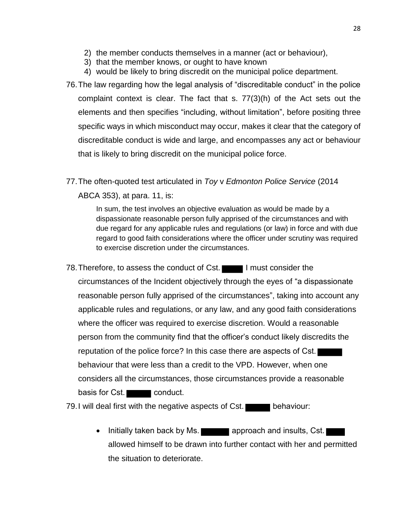- 2) the member conducts themselves in a manner (act or behaviour),
- 3) that the member knows, or ought to have known
- 4) would be likely to bring discredit on the municipal police department.
- 76.The law regarding how the legal analysis of "discreditable conduct" in the police complaint context is clear. The fact that s. 77(3)(h) of the Act sets out the elements and then specifies "including, without limitation", before positing three specific ways in which misconduct may occur, makes it clear that the category of discreditable conduct is wide and large, and encompasses any act or behaviour that is likely to bring discredit on the municipal police force.
- 77.The often-quoted test articulated in *Toy* v *Edmonton Police Service* (2014 ABCA 353), at para. 11, is:

In sum, the test involves an objective evaluation as would be made by a dispassionate reasonable person fully apprised of the circumstances and with due regard for any applicable rules and regulations (or law) in force and with due regard to good faith considerations where the officer under scrutiny was required to exercise discretion under the circumstances.

78. Therefore, to assess the conduct of Cst. I must consider the circumstances of the Incident objectively through the eyes of "a dispassionate reasonable person fully apprised of the circumstances", taking into account any applicable rules and regulations, or any law, and any good faith considerations where the officer was required to exercise discretion. Would a reasonable person from the community find that the officer's conduct likely discredits the reputation of the police force? In this case there are aspects of Cst. behaviour that were less than a credit to the VPD. However, when one considers all the circumstances, those circumstances provide a reasonable basis for Cst. conduct.

79. I will deal first with the negative aspects of Cst. behaviour:

• Initially taken back by Ms. **The Container approach and insults, Cst.** allowed himself to be drawn into further contact with her and permitted the situation to deteriorate.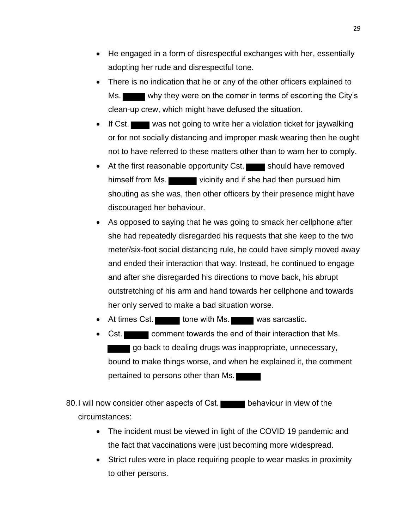- He engaged in a form of disrespectful exchanges with her, essentially adopting her rude and disrespectful tone.
- There is no indication that he or any of the other officers explained to Ms. why they were on the corner in terms of escorting the City's clean-up crew, which might have defused the situation.
- If Cst. was not going to write her a violation ticket for jaywalking or for not socially distancing and improper mask wearing then he ought not to have referred to these matters other than to warn her to comply.
- At the first reasonable opportunity Cst.  $\Box$  should have removed himself from Ms. shouting as she was, then other officers by their presence might have discouraged her behaviour.
- As opposed to saying that he was going to smack her cellphone after she had repeatedly disregarded his requests that she keep to the two meter/six-foot social distancing rule, he could have simply moved away and ended their interaction that way. Instead, he continued to engage and after she disregarded his directions to move back, his abrupt outstretching of his arm and hand towards her cellphone and towards her only served to make a bad situation worse.
- At times Cst. tone with Ms. was sarcastic.
- **Cst.** comment towards the end of their interaction that Ms. go back to dealing drugs was inappropriate, unnecessary, bound to make things worse, and when he explained it, the comment pertained to persons other than Ms.

80. I will now consider other aspects of Cst. behaviour in view of the circumstances:

- The incident must be viewed in light of the COVID 19 pandemic and the fact that vaccinations were just becoming more widespread.
- Strict rules were in place requiring people to wear masks in proximity to other persons.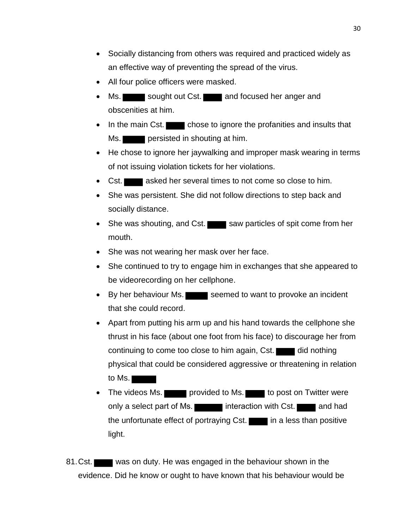- Socially distancing from others was required and practiced widely as an effective way of preventing the spread of the virus.
- All four police officers were masked.
- Ms. sought out Cst. and focused her anger and obscenities at him.
- In the main Cst. chose to ignore the profanities and insults that Ms. **persisted in shouting at him.**
- He chose to ignore her jaywalking and improper mask wearing in terms of not issuing violation tickets for her violations.
- Cst. **asked her several times to not come so close to him.**
- She was persistent. She did not follow directions to step back and socially distance.
- She was shouting, and Cst.  $\blacksquare$  saw particles of spit come from her mouth.
- She was not wearing her mask over her face.
- She continued to try to engage him in exchanges that she appeared to be videorecording on her cellphone.
- By her behaviour Ms. seemed to want to provoke an incident that she could record.
- Apart from putting his arm up and his hand towards the cellphone she thrust in his face (about one foot from his face) to discourage her from continuing to come too close to him again, Cst.  $\Box$  did nothing physical that could be considered aggressive or threatening in relation to Ms.
- The videos Ms. provided to Ms. to post on Twitter were only a select part of Ms. interaction with Cst. and had the unfortunate effect of portraying  $Cst$ . in a less than positive light.
- 81.Cst. was on duty. He was engaged in the behaviour shown in the evidence. Did he know or ought to have known that his behaviour would be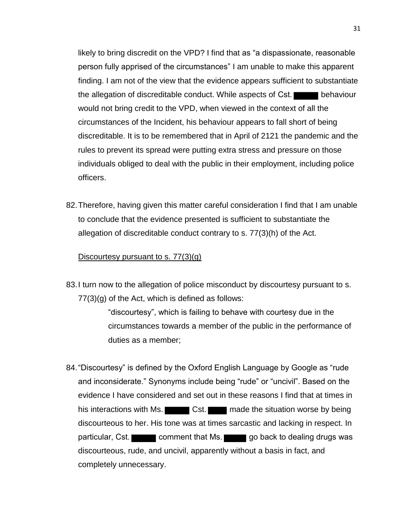likely to bring discredit on the VPD? I find that as "a dispassionate, reasonable person fully apprised of the circumstances" I am unable to make this apparent finding. I am not of the view that the evidence appears sufficient to substantiate the allegation of discreditable conduct. While aspects of Cst. behaviour would not bring credit to the VPD, when viewed in the context of all the circumstances of the Incident, his behaviour appears to fall short of being discreditable. It is to be remembered that in April of 2121 the pandemic and the rules to prevent its spread were putting extra stress and pressure on those individuals obliged to deal with the public in their employment, including police officers.

82.Therefore, having given this matter careful consideration I find that I am unable to conclude that the evidence presented is sufficient to substantiate the allegation of discreditable conduct contrary to s. 77(3)(h) of the Act.

# Discourtesy pursuant to s. 77(3)(g)

83.I turn now to the allegation of police misconduct by discourtesy pursuant to s. 77(3)(g) of the Act, which is defined as follows:

> "discourtesy", which is failing to behave with courtesy due in the circumstances towards a member of the public in the performance of duties as a member;

84."Discourtesy" is defined by the Oxford English Language by Google as "rude and inconsiderate." Synonyms include being "rude" or "uncivil". Based on the evidence I have considered and set out in these reasons I find that at times in his interactions with Ms.  $\blacksquare$  Cst. made the situation worse by being discourteous to her. His tone was at times sarcastic and lacking in respect. In particular, Cst. comment that Ms. go back to dealing drugs was discourteous, rude, and uncivil, apparently without a basis in fact, and completely unnecessary.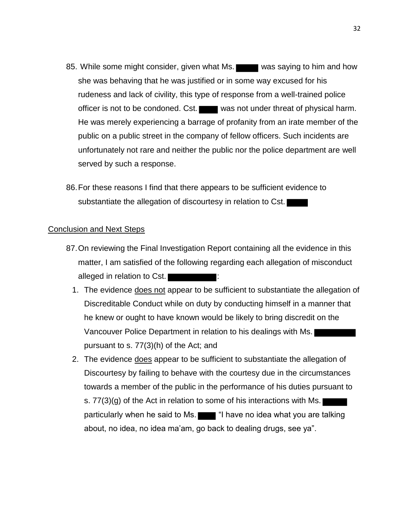- 85. While some might consider, given what Ms. was saying to him and how she was behaving that he was justified or in some way excused for his rudeness and lack of civility, this type of response from a well-trained police officer is not to be condoned. Cst. was not under threat of physical harm. He was merely experiencing a barrage of profanity from an irate member of the public on a public street in the company of fellow officers. Such incidents are unfortunately not rare and neither the public nor the police department are well served by such a response.
- 86.For these reasons I find that there appears to be sufficient evidence to substantiate the allegation of discourtesy in relation to Cst.

# Conclusion and Next Steps

- 87.On reviewing the Final Investigation Report containing all the evidence in this matter, I am satisfied of the following regarding each allegation of misconduct alleged in relation to Cst.
	- 1. The evidence does not appear to be sufficient to substantiate the allegation of Discreditable Conduct while on duty by conducting himself in a manner that he knew or ought to have known would be likely to bring discredit on the Vancouver Police Department in relation to his dealings with Ms. pursuant to s. 77(3)(h) of the Act; and
	- 2. The evidence does appear to be sufficient to substantiate the allegation of Discourtesy by failing to behave with the courtesy due in the circumstances towards a member of the public in the performance of his duties pursuant to s. 77(3)(g) of the Act in relation to some of his interactions with Ms. particularly when he said to Ms.  $\blacksquare$  "I have no idea what you are talking about, no idea, no idea ma'am, go back to dealing drugs, see ya".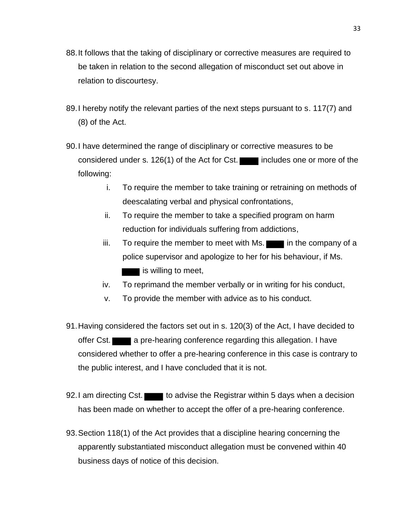- 88.It follows that the taking of disciplinary or corrective measures are required to be taken in relation to the second allegation of misconduct set out above in relation to discourtesy.
- 89.I hereby notify the relevant parties of the next steps pursuant to s. 117(7) and (8) of the Act.
- 90.I have determined the range of disciplinary or corrective measures to be considered under s. 126(1) of the Act for Cst. includes one or more of the following:
	- i. To require the member to take training or retraining on methods of deescalating verbal and physical confrontations,
	- ii. To require the member to take a specified program on harm reduction for individuals suffering from addictions,
	- $iii.$  To require the member to meet with Ms.  $\blacksquare$  in the company of a police supervisor and apologize to her for his behaviour, if Ms. is willing to meet,
	- iv. To reprimand the member verbally or in writing for his conduct,
	- v. To provide the member with advice as to his conduct.
- 91.Having considered the factors set out in s. 120(3) of the Act, I have decided to offer Cst. a pre-hearing conference regarding this allegation. I have considered whether to offer a pre-hearing conference in this case is contrary to the public interest, and I have concluded that it is not.
- 92.I am directing Cst. to advise the Registrar within 5 days when a decision has been made on whether to accept the offer of a pre-hearing conference.
- 93.Section 118(1) of the Act provides that a discipline hearing concerning the apparently substantiated misconduct allegation must be convened within 40 business days of notice of this decision.